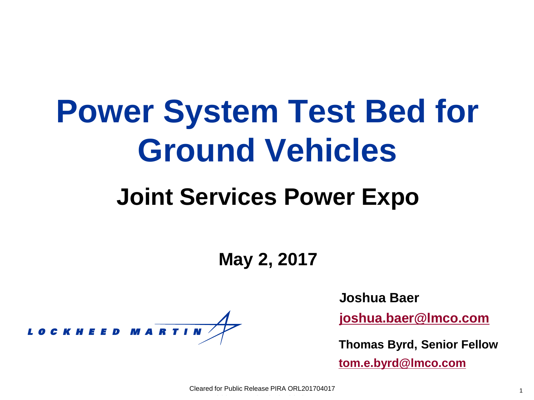## **Power System Test Bed for Ground Vehicles**

### **Joint Services Power Expo**

**May 2, 2017**

LOCKHEED MARTIN

**Joshua Baer**

**[joshua.baer@lmco.com](mailto:Joshua.baer@lmco.com)**

**Thomas Byrd, Senior Fellow**

**[tom.e.byrd@lmco.com](mailto:tom.e.byrd@lmco.com)**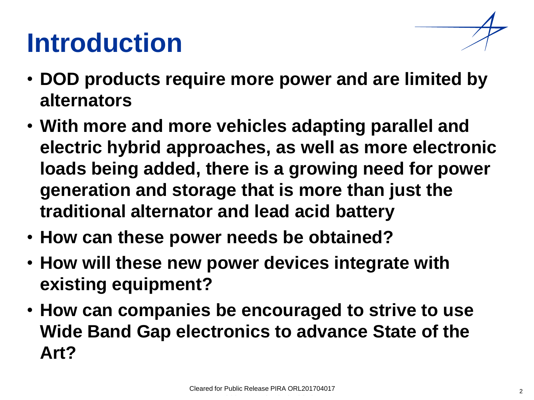### **Introduction**

- 
- **DOD products require more power and are limited by alternators**
- **With more and more vehicles adapting parallel and electric hybrid approaches, as well as more electronic loads being added, there is a growing need for power generation and storage that is more than just the traditional alternator and lead acid battery**
- **How can these power needs be obtained?**
- **How will these new power devices integrate with existing equipment?**
- **How can companies be encouraged to strive to use Wide Band Gap electronics to advance State of the Art?**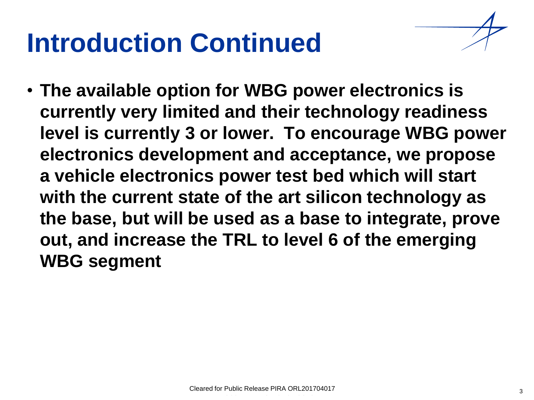### **Introduction Continued**

• **The available option for WBG power electronics is currently very limited and their technology readiness level is currently 3 or lower. To encourage WBG power electronics development and acceptance, we propose a vehicle electronics power test bed which will start with the current state of the art silicon technology as the base, but will be used as a base to integrate, prove out, and increase the TRL to level 6 of the emerging WBG segment**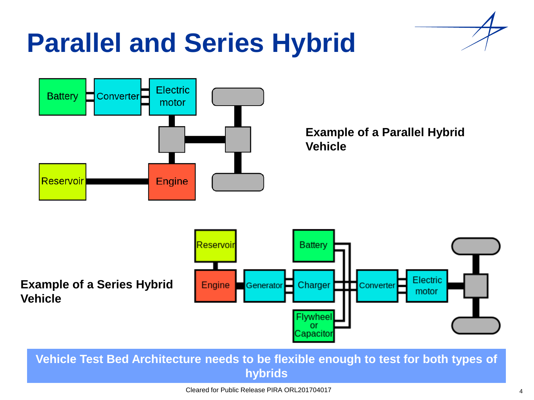### **Parallel and Series Hybrid**



**Vehicle Test Bed Architecture needs to be flexible enough to test for both types of hybrids**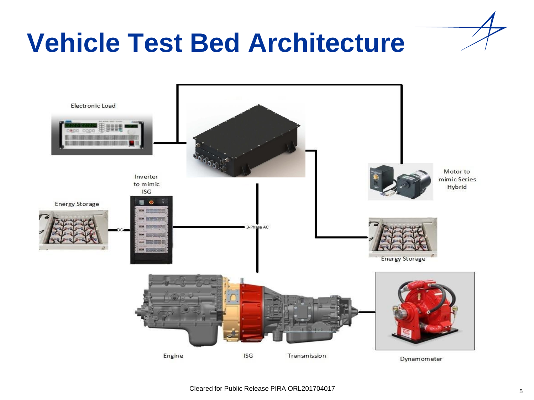

### **Vehicle Test Bed Architecture**

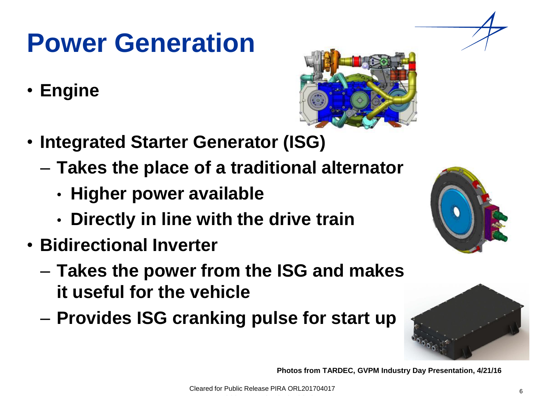### **Power Generation**

• **Engine**



- **Integrated Starter Generator (ISG)**
	- **Takes the place of a traditional alternator**
		- **Higher power available**
		- **Directly in line with the drive train**
- **Bidirectional Inverter** 
	- **Takes the power from the ISG and makes it useful for the vehicle**
	- **Provides ISG cranking pulse for start up**





**Photos from TARDEC, GVPM Industry Day Presentation, 4/21/16**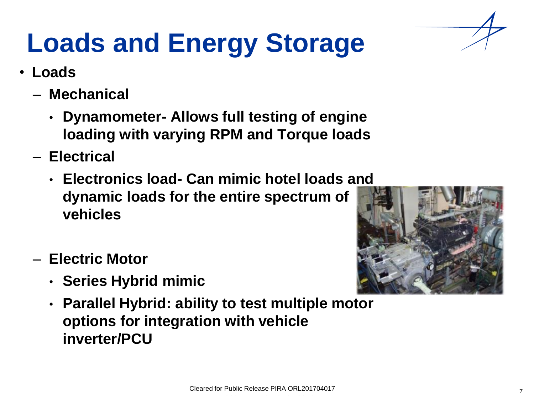## **Loads and Energy Storage**

- **Loads**
	- **Mechanical**
		- **Dynamometer- Allows full testing of engine loading with varying RPM and Torque loads**
	- **Electrical**
		- **Electronics load- Can mimic hotel loads and dynamic loads for the entire spectrum of vehicles**
	- **Electric Motor**
		- **Series Hybrid mimic**
		- **Parallel Hybrid: ability to test multiple motor options for integration with vehicle inverter/PCU**

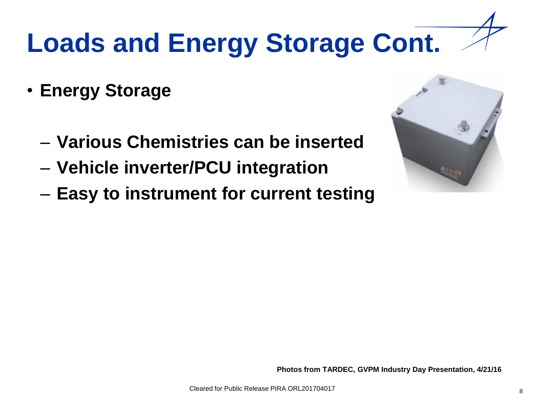## **Loads and Energy Storage Cont.**

- **Energy Storage**
	- **Various Chemistries can be inserted**
	- **Vehicle inverter/PCU integration**
	- **Easy to instrument for current testing**



**Photos from TARDEC, GVPM Industry Day Presentation, 4/21/16**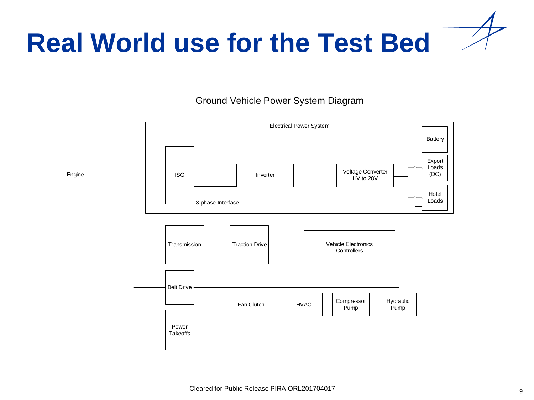

#### Ground Vehicle Power System Diagram

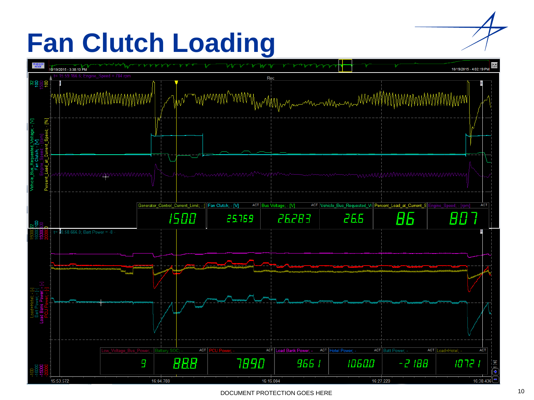### **Fan Clutch Loading**



DOCUMENT PROTECTION GOES HERE 10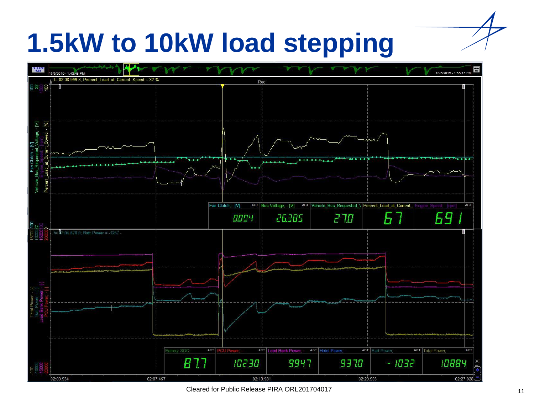### **1.5kW to 10kW load stepping**



Cleared for Public Release PIRA ORL201704017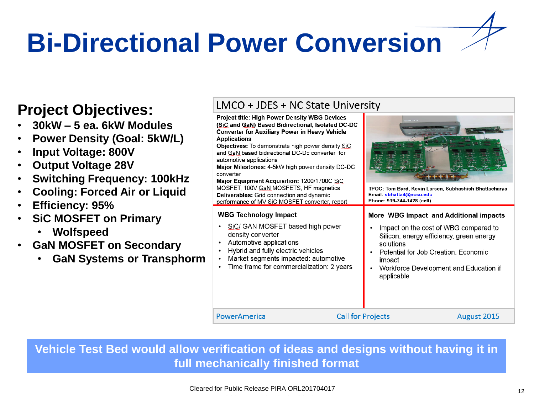# **Bi-Directional Power Conversion**

### **Project Objectives:**

- **30kW – 5 ea. 6kW Modules**
- **Power Density (Goal: 5kW/L)**
- **Input Voltage: 800V**
- **Output Voltage 28V**
- **Switching Frequency: 100kHz**
- **Cooling: Forced Air or Liquid**
- **Efficiency: 95%**
- **SiC MOSFET on Primary**
	- **Wolfspeed**
- **GaN MOSFET on Secondary**
	- **GaN Systems or Transphorm**

#### LMCO + JDES + NC State University

Project title: High Power Density WBG Devices (SiC and GaN) Based Bidirectional, Isolated DC-DC **Converter for Auxiliary Power in Heavy Vehicle Applications** Objectives: To demonstrate high power density SiC and GaN based bidirectional DC-Dc converter for automotive applications Maior Milestones: 4-5kW high power density DC-DC converter Major Equipment Acquisition: 1200/1700C SiC MOSFET, 100V GaN MOSFETS, HF magnetics TPOC: Tom Byrd, Kevin Larsen, Subhashish Bhattacharya Deliverables: Grid connection and dynamic Email: sbhatta4@ncsu.edu Phone: 919-744-1428 (cell) performance of MV SiC MOSFET converter, report

#### More WBG Impact and Additional impacts

- Impact on the cost of WBG compared to Silicon, energy efficiency, green energy solutions
- Potential for Job Creation, Economic impact
- Workforce Development and Education if applicable

PowerAmerica

 $\bullet$ 

**WBG Technology Impact** 

density converter

• Automotive applications

SiC/ GAN MOSFET based high power

Market segments impacted: automotive

Time frame for commercialization: 2 years

Hybrid and fully electric vehicles

**Call for Projects** 

August 2015

**Vehicle Test Bed would allow verification of ideas and designs without having it in full mechanically finished format**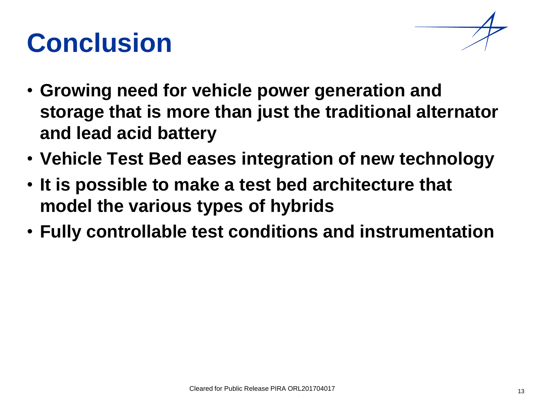### **Conclusion**



- **Growing need for vehicle power generation and storage that is more than just the traditional alternator and lead acid battery**
- **Vehicle Test Bed eases integration of new technology**
- **It is possible to make a test bed architecture that model the various types of hybrids**
- **Fully controllable test conditions and instrumentation**